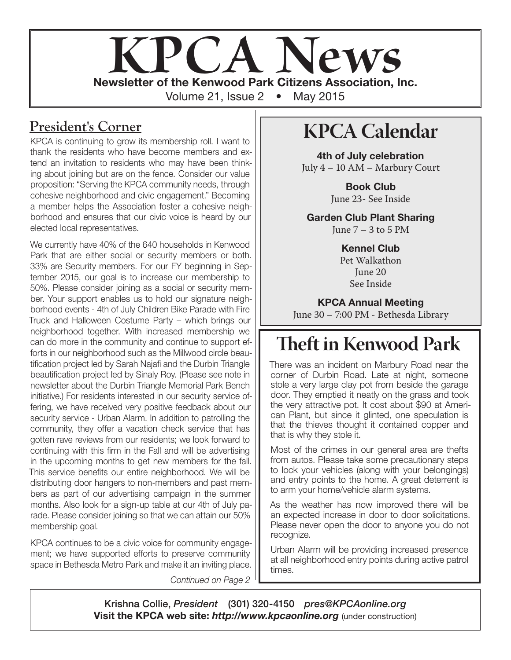

### **President's Corner**

KPCA is continuing to grow its membership roll. I want to thank the residents who have become members and extend an invitation to residents who may have been thinking about joining but are on the fence. Consider our value proposition: "Serving the KPCA community needs, through cohesive neighborhood and civic engagement." Becoming a member helps the Association foster a cohesive neighborhood and ensures that our civic voice is heard by our elected local representatives.

We currently have 40% of the 640 households in Kenwood Park that are either social or security members or both. 33% are Security members. For our FY beginning in September 2015, our goal is to increase our membership to 50%. Please consider joining as a social or security member. Your support enables us to hold our signature neighborhood events - 4th of July Children Bike Parade with Fire Truck and Halloween Costume Party – which brings our neighborhood together. With increased membership we can do more in the community and continue to support efforts in our neighborhood such as the Millwood circle beautification project led by Sarah Najafi and the Durbin Triangle beautification project led by Sinaly Roy. (Please see note in newsletter about the Durbin Triangle Memorial Park Bench initiative.) For residents interested in our security service offering, we have received very positive feedback about our security service - Urban Alarm. In addition to patrolling the community, they offer a vacation check service that has gotten rave reviews from our residents; we look forward to continuing with this firm in the Fall and will be advertising in the upcoming months to get new members for the fall. This service benefits our entire neighborhood. We will be distributing door hangers to non-members and past members as part of our advertising campaign in the summer months. Also look for a sign-up table at our 4th of July parade. Please consider joining so that we can attain our 50% membership goal.

KPCA continues to be a civic voice for community engagement; we have supported efforts to preserve community space in Bethesda Metro Park and make it an inviting place.

*Continued on Page 2*

# **KPCA Calendar**

4th of July celebration July 4 – 10 AM – Marbury Court

> Book Club June 23- See Inside

Garden Club Plant Sharing June  $7 - 3$  to 5 PM

> Kennel Club Pet Walkathon June 20 See Inside

KPCA Annual Meeting June 30 – 7:00 PM - Bethesda Library

# **Theft in Kenwood Park**

There was an incident on Marbury Road near the corner of Durbin Road. Late at night, someone stole a very large clay pot from beside the garage door. They emptied it neatly on the grass and took the very attractive pot. It cost about \$90 at American Plant, but since it glinted, one speculation is that the thieves thought it contained copper and that is why they stole it.

Most of the crimes in our general area are thefts from autos. Please take some precautionary steps to lock your vehicles (along with your belongings) and entry points to the home. A great deterrent is to arm your home/vehicle alarm systems.

As the weather has now improved there will be an expected increase in door to door solicitations. Please never open the door to anyone you do not recognize.

Urban Alarm will be providing increased presence at all neighborhood entry points during active patrol times.

Krishna Collie, *President* (301) 320-4150 *pres@KPCAonline.org* Visit the KPCA web site: *http://www.kpcaonline.org* (under construction)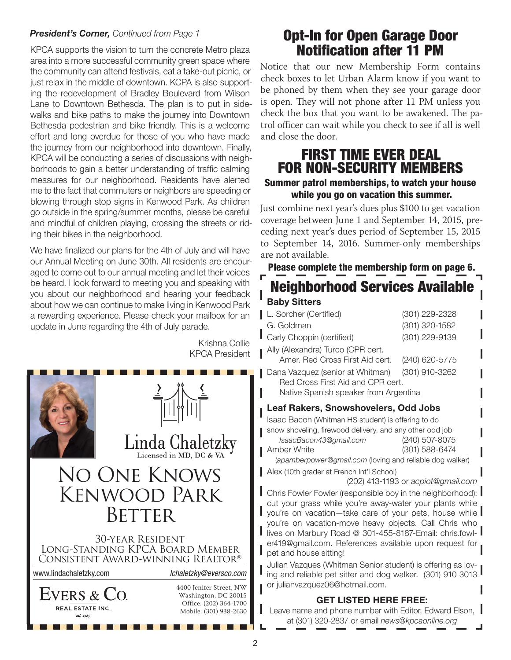#### *President's Corner, Continued from Page 1*

KPCA supports the vision to turn the concrete Metro plaza area into a more successful community green space where the community can attend festivals, eat a take-out picnic, or just relax in the middle of downtown. KCPA is also supporting the redevelopment of Bradley Boulevard from Wilson Lane to Downtown Bethesda. The plan is to put in sidewalks and bike paths to make the journey into Downtown Bethesda pedestrian and bike friendly. This is a welcome effort and long overdue for those of you who have made the journey from our neighborhood into downtown. Finally, KPCA will be conducting a series of discussions with neighborhoods to gain a better understanding of traffic calming measures for our neighborhood. Residents have alerted me to the fact that commuters or neighbors are speeding or blowing through stop signs in Kenwood Park. As children go outside in the spring/summer months, please be careful and mindful of children playing, crossing the streets or riding their bikes in the neighborhood.

We have finalized our plans for the 4th of July and will have our Annual Meeting on June 30th. All residents are encouraged to come out to our annual meeting and let their voices be heard. I look forward to meeting you and speaking with you about our neighborhood and hearing your feedback about how we can continue to make living in Kenwood Park a rewarding experience. Please check your mailbox for an update in June regarding the 4th of July parade.

> Krishna Collie KPCA President



# Opt-In for Open Garage Door Notification after 11 PM

Notice that our new Membership Form contains check boxes to let Urban Alarm know if you want to be phoned by them when they see your garage door is open. They will not phone after 11 PM unless you check the box that you want to be awakened. The patrol officer can wait while you check to see if all is well and close the door.

## FIRST TIME EVER DEAL FOR NON-SECURITY MEMBERS

#### Summer patrol memberships, to watch your house while you go on vacation this summer.

Just combine next year's dues plus \$100 to get vacation coverage between June 1 and September 14, 2015, preceding next year's dues period of September 15, 2015 to September 14, 2016. Summer-only memberships are not available.

Please complete the membership form on page 6.

### Neighborhood Services Available Baby Sitters

| L. Sorcher (Certified)                          | (301) 229-2328 |  |
|-------------------------------------------------|----------------|--|
| G. Goldman                                      | (301) 320-1582 |  |
| Carly Choppin (certified)                       | (301) 229-9139 |  |
| Ally (Alexandra) Turco (CPR cert.               |                |  |
| Amer. Red Cross First Aid cert.                 | (240) 620-5775 |  |
| Dana Vazquez (senior at Whitman) (301) 910-3262 |                |  |
| Red Cross First Aid and CPR cert.               |                |  |
| Native Spanish speaker from Argentina           |                |  |

#### Leaf Rakers, Snowshovelers, Odd Jobs

Isaac Bacon (Whitman HS student) is offering to do snow shoveling, firewood delivery, and any other odd job *IsaacBacon43@gmail.com* (240) 507-8075 Amber White (301) 588-6474

(*apamberpower@gmail.com* (loving and reliable dog walker)

Alex (10th grader at French Int'l School)

(202) 413-1193 or *acpiot@gmail.com*

Chris Fowler Fowler (responsible boy in the neighborhood): cut your grass while you're away-water your plants while you're on vacation—take care of your pets, house while you're on vacation-move heavy objects. Call Chris who lives on Marbury Road @ 301-455-8187-Email: chris.fowler419@gmail.com. References available upon request for pet and house sitting!

Julian Vazques (Whitman Senior student) is offering as loving and reliable pet sitter and dog walker. (301) 910 3013 or julianvazquez06@hotmail.com.

#### GET LISTED HERE FREE:

Leave name and phone number with Editor, Edward Elson, at (301) 320-2837 or email *news@kpcaonline.org*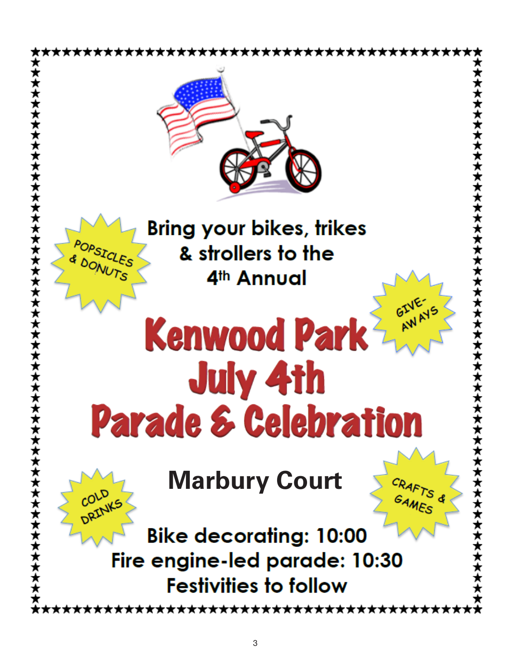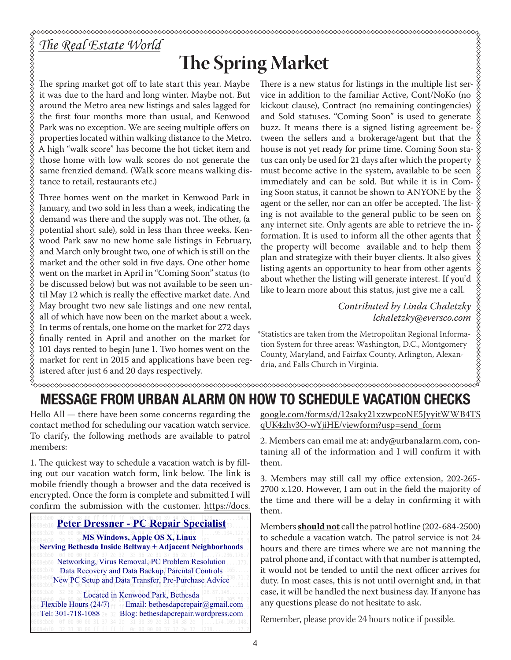# *The Real Estate World*

# **The Spring Market**

The spring market got off to late start this year. Maybe it was due to the hard and long winter. Maybe not. But around the Metro area new listings and sales lagged for the first four months more than usual, and Kenwood Park was no exception. We are seeing multiple offers on properties located within walking distance to the Metro. A high "walk score" has become the hot ticket item and those home with low walk scores do not generate the same frenzied demand. (Walk score means walking distance to retail, restaurants etc.)

Three homes went on the market in Kenwood Park in January, and two sold in less than a week, indicating the demand was there and the supply was not. The other, (a potential short sale), sold in less than three weeks. Kenwood Park saw no new home sale listings in February, and March only brought two, one of which is still on the market and the other sold in five days. One other home went on the market in April in "Coming Soon" status (to be discussed below) but was not available to be seen until May 12 which is really the effective market date. And May brought two new sale listings and one new rental, all of which have now been on the market about a week. In terms of rentals, one home on the market for 272 days finally rented in April and another on the market for 101 days rented to begin June 1. Two homes went on the market for rent in 2015 and applications have been registered after just 6 and 20 days respectively.

There is a new status for listings in the multiple list service in addition to the familiar Active, Cont/NoKo (no kickout clause), Contract (no remaining contingencies) and Sold statuses. "Coming Soon" is used to generate buzz. It means there is a signed listing agreement between the sellers and a brokerage/agent but that the house is not yet ready for prime time. Coming Soon status can only be used for 21 days after which the property must become active in the system, available to be seen immediately and can be sold. But while it is in Coming Soon status, it cannot be shown to ANYONE by the agent or the seller, nor can an offer be accepted. The listing is not available to the general public to be seen on any internet site. Only agents are able to retrieve the information. It is used to inform all the other agents that the property will become available and to help them plan and strategize with their buyer clients. It also gives listing agents an opportunity to hear from other agents about whether the listing will generate interest. If you'd like to learn more about this status, just give me a call.

*Contributed by Linda Chaletzky lchaletzky@eversco.com*

XXXXXXXXXX

\*Statistics are taken from the Metropolitan Regional Information System for three areas: Washington, D.C., Montgomery County, Maryland, and Fairfax County, Arlington, Alexandria, and Falls Church in Virginia.

#### MESSAGE FROM URBAN ALARM ON HOW TO SCHEDULE VACATION CHECKS

Hello All — there have been some concerns regarding the contact method for scheduling our vacation watch service. To clarify, the following methods are available to patrol members:

1. The quickest way to schedule a vacation watch is by filling out our vacation watch form, link below. The link is mobile friendly though a browser and the data received is encrypted. Once the form is complete and submitted I will confirm the submission with the customer. https://docs.

#### **Peter Dressner - PC Repair Specialist**

 **MS Windows, Apple OS X, Linux Serving Bethesda Inside Beltway + Adjacent Neighborhoods**

Networking, Virus Removal, PC Problem Resolution Data Recovery and Data Backup, Parental Controls New PC Setup and Data Transfer, Pre-Purchase Advice

Located in Kenwood Park, Bethesda Flexible Hours (24/7) Email: bethesdapcrepair@gmail.com Tel: 301-718-1088 2e 32 Blog: bethesdapcrepair.wordpress.com

google.com/forms/d/12saky21xzwpcoNE5JyyitWWB4TS qUK4zhv3O-wYjiHE/viewform?usp=send\_form

2. Members can email me at: andy@urbanalarm.com, containing all of the information and I will confirm it with them.

3. Members may still call my office extension, 202-265- 2700 x.120. However, I am out in the field the majority of the time and there will be a delay in confirming it with them.

Members **should not** call the patrol hotline (202-684-2500) to schedule a vacation watch. The patrol service is not 24 hours and there are times where we are not manning the patrol phone and, if contact with that number is attempted, it would not be tended to until the next officer arrives for duty. In most cases, this is not until overnight and, in that case, it will be handled the next business day. If anyone has any questions please do not hesitate to ask.

Remember, please provide 24 hours notice if possible.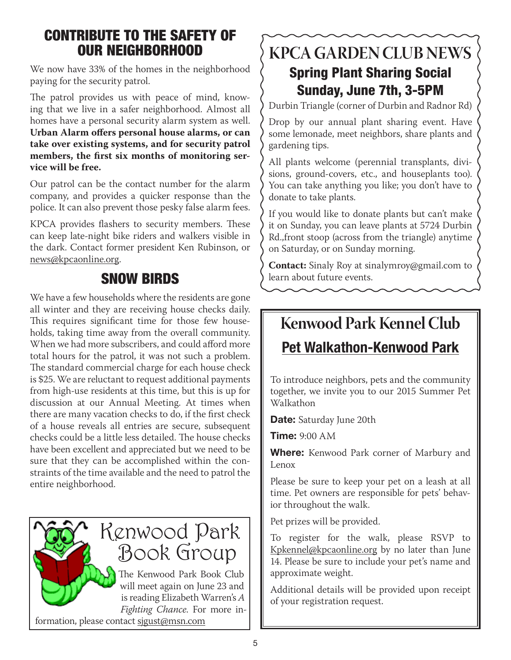## CONTRIBUTE TO THE SAFETY OF OUR NEIGHBORHOOD

We now have 33% of the homes in the neighborhood paying for the security patrol.

The patrol provides us with peace of mind, knowing that we live in a safer neighborhood. Almost all homes have a personal security alarm system as well. **Urban Alarm offers personal house alarms, or can take over existing systems, and for security patrol members, the first six months of monitoring service will be free.** 

Our patrol can be the contact number for the alarm company, and provides a quicker response than the police. It can also prevent those pesky false alarm fees.

KPCA provides flashers to security members. These can keep late-night bike riders and walkers visible in the dark. Contact former president Ken Rubinson, or news@kpcaonline.org.

## SNOW BIRDS

We have a few households where the residents are gone all winter and they are receiving house checks daily. This requires significant time for those few households, taking time away from the overall community. When we had more subscribers, and could afford more total hours for the patrol, it was not such a problem. The standard commercial charge for each house check is \$25. We are reluctant to request additional payments from high-use residents at this time, but this is up for discussion at our Annual Meeting. At times when there are many vacation checks to do, if the first check of a house reveals all entries are secure, subsequent checks could be a little less detailed. The house checks have been excellent and appreciated but we need to be sure that they can be accomplished within the constraints of the time available and the need to patrol the entire neighborhood.



**KPCA GARDEN CLUB NEWS** Spring Plant Sharing Social Sunday, June 7th, 3-5PM

Durbin Triangle (corner of Durbin and Radnor Rd)

Drop by our annual plant sharing event. Have some lemonade, meet neighbors, share plants and gardening tips.

All plants welcome (perennial transplants, divisions, ground-covers, etc., and houseplants too). You can take anything you like; you don't have to donate to take plants.

If you would like to donate plants but can't make it on Sunday, you can leave plants at 5724 Durbin Rd.,front stoop (across from the triangle) anytime on Saturday, or on Sunday morning.

**Contact:** Sinaly Roy at sinalymroy@gmail.com to learn about future events.

# **Kenwood Park Kennel Club**

# Pet Walkathon-Kenwood Park

To introduce neighbors, pets and the community together, we invite you to our 2015 Summer Pet Walkathon

Date: Saturday June 20th

**Time: 9:00 AM** 

Where: Kenwood Park corner of Marbury and Lenox

Please be sure to keep your pet on a leash at all time. Pet owners are responsible for pets' behavior throughout the walk.

Pet prizes will be provided.

To register for the walk, please RSVP to Kpkennel@kpcaonline.org by no later than June 14. Please be sure to include your pet's name and approximate weight.

Additional details will be provided upon receipt of your registration request.

formation, please contact sjgust@msn.com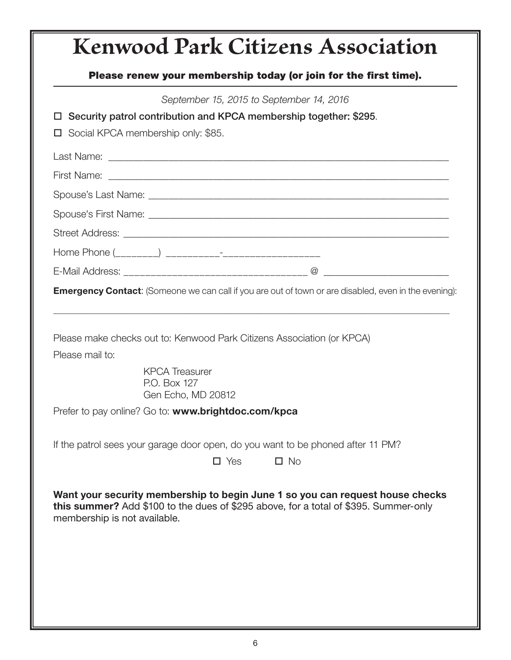# **Kenwood Park Citizens Association** Please renew your membership today (or join for the first time). *September 15, 2015 to September 14, 2016*  $\Box$  Security patrol contribution and KPCA membership together: \$295.  $\Box$  Social KPCA membership only: \$85. Last Name: \_\_\_\_\_\_\_\_\_\_\_\_\_\_\_\_\_\_\_\_\_\_\_\_\_\_\_\_\_\_\_\_\_\_\_\_\_\_\_\_\_\_\_\_\_\_\_\_\_\_\_\_\_\_\_\_\_\_\_\_\_\_\_\_\_\_\_\_ First Name: \_\_\_\_\_\_\_\_\_\_\_\_\_\_\_\_\_\_\_\_\_\_\_\_\_\_\_\_\_\_\_\_\_\_\_\_\_\_\_\_\_\_\_\_\_\_\_\_\_\_\_\_\_\_\_\_\_\_\_\_\_\_\_\_\_\_\_\_ Spouse's Last Name:  $\Box$ Spouse's First Name: \_\_\_\_\_\_\_\_\_\_\_\_\_\_\_\_\_\_\_\_\_\_\_\_\_\_\_\_\_\_\_\_\_\_\_\_\_\_\_\_\_\_\_\_\_\_\_\_\_\_\_\_\_\_\_\_\_\_\_\_ Street Address: \_\_\_\_\_\_\_\_\_\_\_\_\_\_\_\_\_\_\_\_\_\_\_\_\_\_\_\_\_\_\_\_\_\_\_\_\_\_\_\_\_\_\_\_\_\_\_\_\_\_\_\_\_\_\_\_\_\_\_\_\_\_\_\_\_ Home Phone (\_\_\_\_\_\_\_\_) \_\_\_\_\_\_\_\_\_\_-\_\_\_\_\_\_\_\_\_\_\_\_\_\_\_\_\_\_ E-Mail Address:  $\Box$ **Emergency Contact:** (Someone we can call if you are out of town or are disabled, even in the evening): \_\_\_\_\_\_\_\_\_\_\_\_\_\_\_\_\_\_\_\_\_\_\_\_\_\_\_\_\_\_\_\_\_\_\_\_\_\_\_\_\_\_\_\_\_\_\_\_\_\_\_\_\_\_\_\_\_\_\_\_\_\_\_\_\_\_\_\_\_\_\_\_\_\_\_\_\_\_\_\_\_\_\_\_\_\_\_\_\_\_\_\_\_\_\_

Please make checks out to: Kenwood Park Citizens Association (or KPCA)

Please mail to:

 KPCA Treasurer P.O. Box 127 Gen Echo, MD 20812

Prefer to pay online? Go to: www.brightdoc.com/kpca

If the patrol sees your garage door open, do you want to be phoned after 11 PM?

| $\Box$ Yes |  | $\Box$ No |
|------------|--|-----------|
|            |  |           |

Want your security membership to begin June 1 so you can request house checks this summer? Add \$100 to the dues of \$295 above, for a total of \$395. Summer-only membership is not available.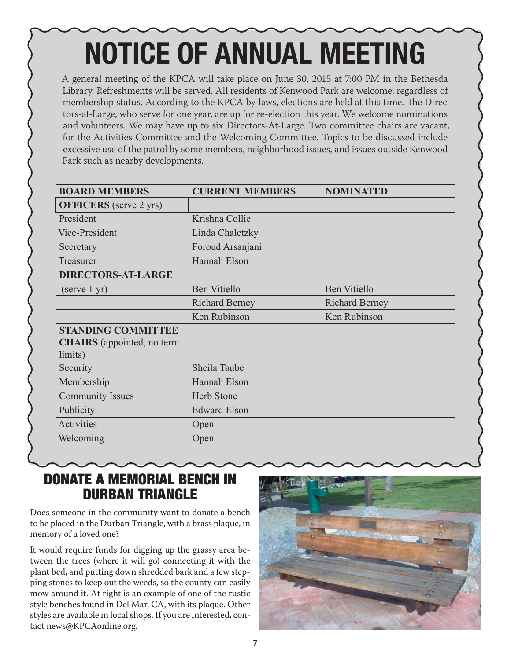# NOTICE OF ANNUAL MEETING

A general meeting of the KPCA will take place on June 30, 2015 at 7:00 PM in the Bethesda Library. Refreshments will be served. All residents of Kenwood Park are welcome, regardless of membership status. According to the KPCA by-laws, elections are held at this time. The Directors-at-Large, who serve for one year, are up for re-election this year. We welcome nominations and volunteers. We may have up to six Directors-At-Large. Two committee chairs are vacant, for the Activities Committee and the Welcoming Committee. Topics to be discussed include excessive use of the patrol by some members, neighborhood issues, and issues outside Kenwood Park such as nearby developments.

| <b>BOARD MEMBERS</b>                         | <b>CURRENT MEMBERS</b> | <b>NOMINATED</b>      |
|----------------------------------------------|------------------------|-----------------------|
| <b>OFFICERS</b> (serve 2 yrs)                |                        |                       |
| President                                    | Krishna Collie         |                       |
| Vice-President                               | Linda Chaletzky        |                       |
| Secretary                                    | Foroud Arsanjani       |                       |
| Treasurer                                    | Hannah Elson           |                       |
| <b>DIRECTORS-AT-LARGE</b>                    |                        |                       |
| (serve 1 yr)                                 | <b>Ben Vitiello</b>    | <b>Ben Vitiello</b>   |
|                                              | <b>Richard Berney</b>  | <b>Richard Berney</b> |
|                                              | Ken Rubinson           | Ken Rubinson          |
| <b>STANDING COMMITTEE</b>                    |                        |                       |
| <b>CHAIRS</b> (appointed, no term<br>limits) |                        |                       |
| Security                                     | Sheila Taube           |                       |
| Membership                                   | Hannah Elson           |                       |
| <b>Community Issues</b>                      | <b>Herb Stone</b>      |                       |
| Publicity                                    | <b>Edward Elson</b>    |                       |
| Activities                                   | Open                   |                       |
| Welcoming                                    | Open                   |                       |

### DONATE A MEMORIAL BENCH IN DURBAN TRIANGLE

Does someone in the community want to donate a bench to be placed in the Durban Triangle, with a brass plaque, in memory of a loved one?

It would require funds for digging up the grassy area between the trees (where it will go) connecting it with the plant bed, and putting down shredded bark and a few stepping stones to keep out the weeds, so the county can easily mow around it. At right is an example of one of the rustic style benches found in Del Mar, CA, with its plaque. Other styles are available in local shops. If you are interested, contact news@KPCAonline.org.